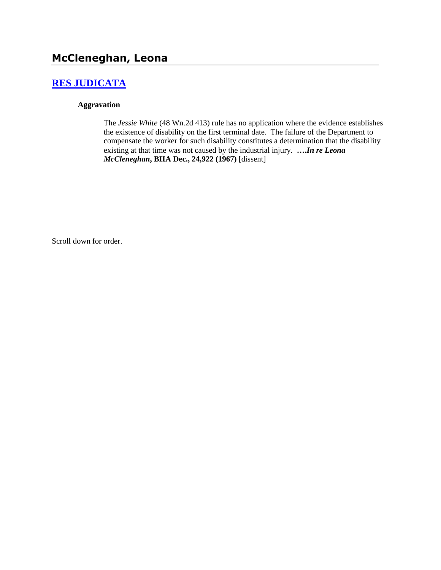# **[RES JUDICATA](http://www.biia.wa.gov/SDSubjectIndex.html#RES_JUDICATA)**

#### **Aggravation**

The *Jessie White* (48 Wn.2d 413) rule has no application where the evidence establishes the existence of disability on the first terminal date. The failure of the Department to compensate the worker for such disability constitutes a determination that the disability existing at that time was not caused by the industrial injury. **….***In re Leona McCleneghan***, BIIA Dec., 24,922 (1967)** [dissent]

Scroll down for order.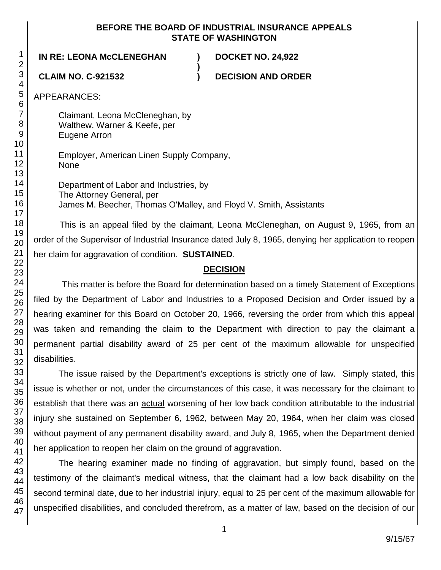#### **BEFORE THE BOARD OF INDUSTRIAL INSURANCE APPEALS STATE OF WASHINGTON**

**)**

**IN RE: LEONA McCLENEGHAN ) DOCKET NO. 24,922**

**CLAIM NO. C-921532 ) DECISION AND ORDER**

APPEARANCES:

Claimant, Leona McCleneghan, by Walthew, Warner & Keefe, per Eugene Arron

Employer, American Linen Supply Company, None

Department of Labor and Industries, by The Attorney General, per James M. Beecher, Thomas O'Malley, and Floyd V. Smith, Assistants

This is an appeal filed by the claimant, Leona McCleneghan, on August 9, 1965, from an order of the Supervisor of Industrial Insurance dated July 8, 1965, denying her application to reopen her claim for aggravation of condition. **SUSTAINED**.

### **DECISION**

This matter is before the Board for determination based on a timely Statement of Exceptions filed by the Department of Labor and Industries to a Proposed Decision and Order issued by a hearing examiner for this Board on October 20, 1966, reversing the order from which this appeal was taken and remanding the claim to the Department with direction to pay the claimant a permanent partial disability award of 25 per cent of the maximum allowable for unspecified disabilities.

The issue raised by the Department's exceptions is strictly one of law. Simply stated, this issue is whether or not, under the circumstances of this case, it was necessary for the claimant to establish that there was an actual worsening of her low back condition attributable to the industrial injury she sustained on September 6, 1962, between May 20, 1964, when her claim was closed without payment of any permanent disability award, and July 8, 1965, when the Department denied her application to reopen her claim on the ground of aggravation.

The hearing examiner made no finding of aggravation, but simply found, based on the testimony of the claimant's medical witness, that the claimant had a low back disability on the second terminal date, due to her industrial injury, equal to 25 per cent of the maximum allowable for unspecified disabilities, and concluded therefrom, as a matter of law, based on the decision of our

1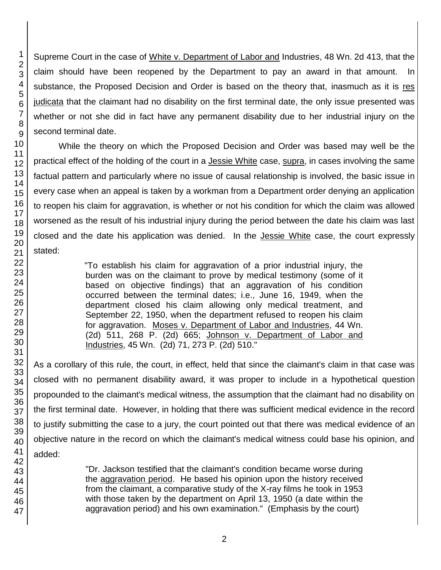Supreme Court in the case of White v. Department of Labor and Industries, 48 Wn. 2d 413, that the claim should have been reopened by the Department to pay an award in that amount. In substance, the Proposed Decision and Order is based on the theory that, inasmuch as it is res judicata that the claimant had no disability on the first terminal date, the only issue presented was whether or not she did in fact have any permanent disability due to her industrial injury on the second terminal date.

While the theory on which the Proposed Decision and Order was based may well be the practical effect of the holding of the court in a **Jessie White case**, supra, in cases involving the same factual pattern and particularly where no issue of causal relationship is involved, the basic issue in every case when an appeal is taken by a workman from a Department order denying an application to reopen his claim for aggravation, is whether or not his condition for which the claim was allowed worsened as the result of his industrial injury during the period between the date his claim was last closed and the date his application was denied. In the **Jessie White** case, the court expressly stated:

> "To establish his claim for aggravation of a prior industrial injury, the burden was on the claimant to prove by medical testimony (some of it based on objective findings) that an aggravation of his condition occurred between the terminal dates; i.e., June 16, 1949, when the department closed his claim allowing only medical treatment, and September 22, 1950, when the department refused to reopen his claim for aggravation. Moses v. Department of Labor and Industries, 44 Wn. (2d) 511, 268 P. (2d) 665; Johnson v. Department of Labor and Industries, 45 Wn. (2d) 71, 273 P. (2d) 510."

As a corollary of this rule, the court, in effect, held that since the claimant's claim in that case was closed with no permanent disability award, it was proper to include in a hypothetical question propounded to the claimant's medical witness, the assumption that the claimant had no disability on the first terminal date. However, in holding that there was sufficient medical evidence in the record to justify submitting the case to a jury, the court pointed out that there was medical evidence of an objective nature in the record on which the claimant's medical witness could base his opinion, and added:

> "Dr. Jackson testified that the claimant's condition became worse during the aggravation period. He based his opinion upon the history received from the claimant, a comparative study of the X-ray films he took in 1953 with those taken by the department on April 13, 1950 (a date within the aggravation period) and his own examination." (Emphasis by the court)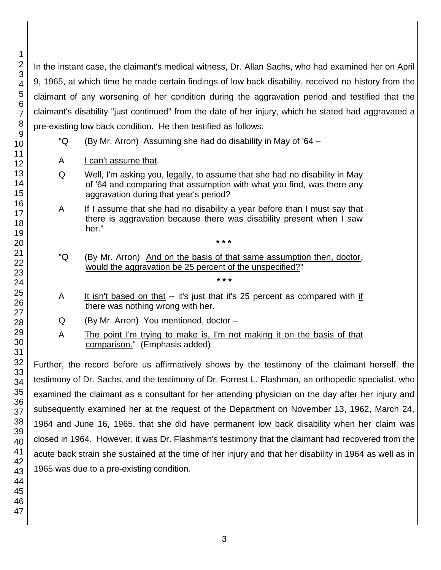In the instant case, the claimant's medical witness, Dr. Allan Sachs, who had examined her on April 9, 1965, at which time he made certain findings of low back disability, received no history from the claimant of any worsening of her condition during the aggravation period and testified that the claimant's disability "just continued" from the date of her injury, which he stated had aggravated a pre-existing low back condition. He then testified as follows:

- "Q (By Mr. Arron) Assuming she had do disability in May of '64 –
- A I can't assume that.
- Q Well, I'm asking you, legally, to assume that she had no disability in May of '64 and comparing that assumption with what you find, was there any aggravation during that year's period?
- A If I assume that she had no disability a year before than I must say that there is aggravation because there was disability present when I saw her."
- "Q (By Mr. Arron) And on the basis of that same assumption then, doctor, would the aggravation be 25 percent of the unspecified?"

**\* \* \***

**\* \* \***

- A It isn't based on that -- it's just that it's 25 percent as compared with if there was nothing wrong with her.
- Q (By Mr. Arron) You mentioned, doctor –
- A The point I'm trying to make is, I'm not making it on the basis of that comparison." (Emphasis added)

Further, the record before us affirmatively shows by the testimony of the claimant herself, the testimony of Dr. Sachs, and the testimony of Dr. Forrest L. Flashman, an orthopedic specialist, who examined the claimant as a consultant for her attending physician on the day after her injury and subsequently examined her at the request of the Department on November 13, 1962, March 24, 1964 and June 16, 1965, that she did have permanent low back disability when her claim was closed in 1964. However, it was Dr. Flashman's testimony that the claimant had recovered from the acute back strain she sustained at the time of her injury and that her disability in 1964 as well as in was due to a pre-existing condition.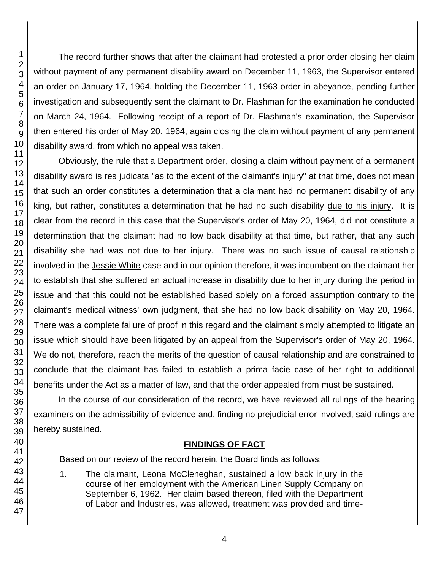The record further shows that after the claimant had protested a prior order closing her claim without payment of any permanent disability award on December 11, 1963, the Supervisor entered an order on January 17, 1964, holding the December 11, 1963 order in abeyance, pending further investigation and subsequently sent the claimant to Dr. Flashman for the examination he conducted on March 24, 1964. Following receipt of a report of Dr. Flashman's examination, the Supervisor then entered his order of May 20, 1964, again closing the claim without payment of any permanent disability award, from which no appeal was taken.

Obviously, the rule that a Department order, closing a claim without payment of a permanent disability award is res judicata "as to the extent of the claimant's injury" at that time, does not mean that such an order constitutes a determination that a claimant had no permanent disability of any king, but rather, constitutes a determination that he had no such disability due to his injury. It is clear from the record in this case that the Supervisor's order of May 20, 1964, did not constitute a determination that the claimant had no low back disability at that time, but rather, that any such disability she had was not due to her injury. There was no such issue of causal relationship involved in the Jessie White case and in our opinion therefore, it was incumbent on the claimant her to establish that she suffered an actual increase in disability due to her injury during the period in issue and that this could not be established based solely on a forced assumption contrary to the claimant's medical witness' own judgment, that she had no low back disability on May 20, 1964. There was a complete failure of proof in this regard and the claimant simply attempted to litigate an issue which should have been litigated by an appeal from the Supervisor's order of May 20, 1964. We do not, therefore, reach the merits of the question of causal relationship and are constrained to conclude that the claimant has failed to establish a prima facie case of her right to additional benefits under the Act as a matter of law, and that the order appealed from must be sustained.

In the course of our consideration of the record, we have reviewed all rulings of the hearing examiners on the admissibility of evidence and, finding no prejudicial error involved, said rulings are hereby sustained.

### **FINDINGS OF FACT**

Based on our review of the record herein, the Board finds as follows:

1. The claimant, Leona McCleneghan, sustained a low back injury in the course of her employment with the American Linen Supply Company on September 6, 1962. Her claim based thereon, filed with the Department of Labor and Industries, was allowed, treatment was provided and time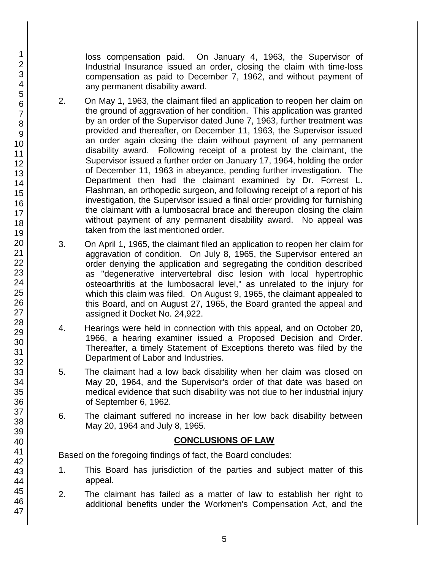loss compensation paid. On January 4, 1963, the Supervisor of Industrial Insurance issued an order, closing the claim with time-loss compensation as paid to December 7, 1962, and without payment of any permanent disability award.

- 2. On May 1, 1963, the claimant filed an application to reopen her claim on the ground of aggravation of her condition. This application was granted by an order of the Supervisor dated June 7, 1963, further treatment was provided and thereafter, on December 11, 1963, the Supervisor issued an order again closing the claim without payment of any permanent disability award. Following receipt of a protest by the claimant, the Supervisor issued a further order on January 17, 1964, holding the order of December 11, 1963 in abeyance, pending further investigation. The Department then had the claimant examined by Dr. Forrest L. Flashman, an orthopedic surgeon, and following receipt of a report of his investigation, the Supervisor issued a final order providing for furnishing the claimant with a lumbosacral brace and thereupon closing the claim without payment of any permanent disability award. No appeal was taken from the last mentioned order.
- 3. On April 1, 1965, the claimant filed an application to reopen her claim for aggravation of condition. On July 8, 1965, the Supervisor entered an order denying the application and segregating the condition described as "degenerative intervertebral disc lesion with local hypertrophic osteoarthritis at the lumbosacral level," as unrelated to the injury for which this claim was filed. On August 9, 1965, the claimant appealed to this Board, and on August 27, 1965, the Board granted the appeal and assigned it Docket No. 24,922.
- 4. Hearings were held in connection with this appeal, and on October 20, 1966, a hearing examiner issued a Proposed Decision and Order. Thereafter, a timely Statement of Exceptions thereto was filed by the Department of Labor and Industries.
- 5. The claimant had a low back disability when her claim was closed on May 20, 1964, and the Supervisor's order of that date was based on medical evidence that such disability was not due to her industrial injury of September 6, 1962.
- 6. The claimant suffered no increase in her low back disability between May 20, 1964 and July 8, 1965.

### **CONCLUSIONS OF LAW**

Based on the foregoing findings of fact, the Board concludes:

- 1. This Board has jurisdiction of the parties and subject matter of this appeal.
- 2. The claimant has failed as a matter of law to establish her right to additional benefits under the Workmen's Compensation Act, and the
- 1 2 3 4 5 6 7 8 9 10 11 12 13 14 15 16 17 18 19 20 21 22 23 24 25 26 27 28 29 30 31 32 33 34 35 36 37 38 39 40 41 42 43 44 45 46 47